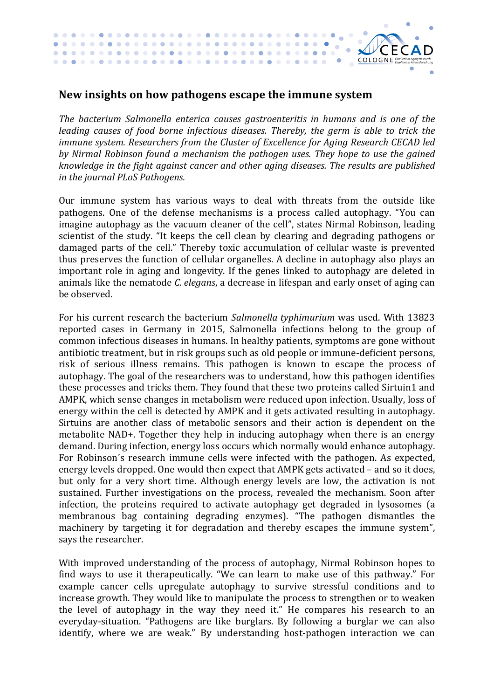

## New insights on how pathogens escape the immune system

*The bacterium Salmonella enterica causes gastroenteritis in humans and is one of the leading* causes of food borne infectious diseases. Thereby, the germ is able to trick the *immune system. Researchers from the Cluster of Excellence for Aging Research CECAD led by Nirmal Robinson found a mechanism the pathogen uses. They hope to use the gained knowledge in the fight against cancer and other aging diseases. The results are published in the iournal PLoS Pathogens.* 

Our immune system has various ways to deal with threats from the outside like pathogens. One of the defense mechanisms is a process called autophagy. "You can imagine autophagy as the vacuum cleaner of the cell", states Nirmal Robinson, leading scientist of the study. "It keeps the cell clean by clearing and degrading pathogens or damaged parts of the cell." Thereby toxic accumulation of cellular waste is prevented thus preserves the function of cellular organelles. A decline in autophagy also plays an important role in aging and longevity. If the genes linked to autophagy are deleted in animals like the nematode *C. elegans*, a decrease in lifespan and early onset of aging can be observed.

For his current research the bacterium *Salmonella typhimurium* was used. With 13823 reported cases in Germany in 2015, Salmonella infections belong to the group of common infectious diseases in humans. In healthy patients, symptoms are gone without antibiotic treatment, but in risk groups such as old people or immune-deficient persons, risk of serious illness remains. This pathogen is known to escape the process of autophagy. The goal of the researchers was to understand, how this pathogen identifies these processes and tricks them. They found that these two proteins called Sirtuin1 and AMPK, which sense changes in metabolism were reduced upon infection. Usually, loss of energy within the cell is detected by AMPK and it gets activated resulting in autophagy. Sirtuins are another class of metabolic sensors and their action is dependent on the metabolite NAD+. Together they help in inducing autophagy when there is an energy demand. During infection, energy loss occurs which normally would enhance autophagy. For Robinson's research immune cells were infected with the pathogen. As expected, energy levels dropped. One would then expect that AMPK gets activated – and so it does, but only for a very short time. Although energy levels are low, the activation is not sustained. Further investigations on the process, revealed the mechanism. Soon after infection, the proteins required to activate autophagy get degraded in lysosomes (a membranous bag containing degrading enzymes). "The pathogen dismantles the machinery by targeting it for degradation and thereby escapes the immune system", says the researcher.

With improved understanding of the process of autophagy, Nirmal Robinson hopes to find ways to use it therapeutically. "We can learn to make use of this pathway." For example cancer cells upregulate autophagy to survive stressful conditions and to increase growth. They would like to manipulate the process to strengthen or to weaken the level of autophagy in the way they need it." He compares his research to an everyday-situation. "Pathogens are like burglars. By following a burglar we can also identify, where we are weak." By understanding host-pathogen interaction we can